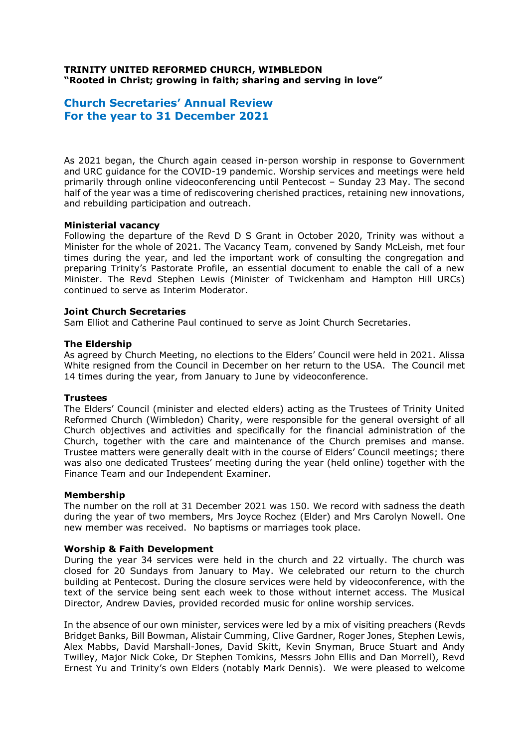# **TRINITY UNITED REFORMED CHURCH, WIMBLEDON "Rooted in Christ; growing in faith; sharing and serving in love"**

# **Church Secretaries' Annual Review For the year to 31 December 2021**

As 2021 began, the Church again ceased in-person worship in response to Government and URC guidance for the COVID-19 pandemic. Worship services and meetings were held primarily through online videoconferencing until Pentecost – Sunday 23 May. The second half of the year was a time of rediscovering cherished practices, retaining new innovations, and rebuilding participation and outreach.

# **Ministerial vacancy**

Following the departure of the Revd D S Grant in October 2020, Trinity was without a Minister for the whole of 2021. The Vacancy Team, convened by Sandy McLeish, met four times during the year, and led the important work of consulting the congregation and preparing Trinity's Pastorate Profile, an essential document to enable the call of a new Minister. The Revd Stephen Lewis (Minister of Twickenham and Hampton Hill URCs) continued to serve as Interim Moderator.

# **Joint Church Secretaries**

Sam Elliot and Catherine Paul continued to serve as Joint Church Secretaries.

# **The Eldership**

As agreed by Church Meeting, no elections to the Elders' Council were held in 2021. Alissa White resigned from the Council in December on her return to the USA. The Council met 14 times during the year, from January to June by videoconference.

# **Trustees**

The Elders' Council (minister and elected elders) acting as the Trustees of Trinity United Reformed Church (Wimbledon) Charity, were responsible for the general oversight of all Church objectives and activities and specifically for the financial administration of the Church, together with the care and maintenance of the Church premises and manse. Trustee matters were generally dealt with in the course of Elders' Council meetings; there was also one dedicated Trustees' meeting during the year (held online) together with the Finance Team and our Independent Examiner.

# **Membership**

The number on the roll at 31 December 2021 was 150. We record with sadness the death during the year of two members, Mrs Joyce Rochez (Elder) and Mrs Carolyn Nowell. One new member was received. No baptisms or marriages took place.

# **Worship & Faith Development**

During the year 34 services were held in the church and 22 virtually. The church was closed for 20 Sundays from January to May. We celebrated our return to the church building at Pentecost. During the closure services were held by videoconference, with the text of the service being sent each week to those without internet access. The Musical Director, Andrew Davies, provided recorded music for online worship services.

In the absence of our own minister, services were led by a mix of visiting preachers (Revds Bridget Banks, Bill Bowman, Alistair Cumming, Clive Gardner, Roger Jones, Stephen Lewis, Alex Mabbs, David Marshall-Jones, David Skitt, Kevin Snyman, Bruce Stuart and Andy Twilley, Major Nick Coke, Dr Stephen Tomkins, Messrs John Ellis and Dan Morrell), Revd Ernest Yu and Trinity's own Elders (notably Mark Dennis). We were pleased to welcome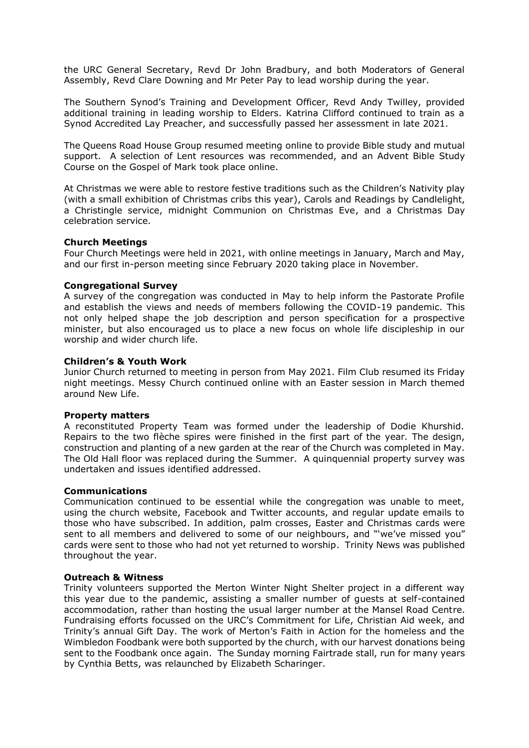the URC General Secretary, Revd Dr John Bradbury, and both Moderators of General Assembly, Revd Clare Downing and Mr Peter Pay to lead worship during the year.

The Southern Synod's Training and Development Officer, Revd Andy Twilley, provided additional training in leading worship to Elders. Katrina Clifford continued to train as a Synod Accredited Lay Preacher, and successfully passed her assessment in late 2021.

The Queens Road House Group resumed meeting online to provide Bible study and mutual support. A selection of Lent resources was recommended, and an Advent Bible Study Course on the Gospel of Mark took place online.

At Christmas we were able to restore festive traditions such as the Children's Nativity play (with a small exhibition of Christmas cribs this year), Carols and Readings by Candlelight, a Christingle service, midnight Communion on Christmas Eve, and a Christmas Day celebration service.

# **Church Meetings**

Four Church Meetings were held in 2021, with online meetings in January, March and May, and our first in-person meeting since February 2020 taking place in November.

# **Congregational Survey**

A survey of the congregation was conducted in May to help inform the Pastorate Profile and establish the views and needs of members following the COVID-19 pandemic. This not only helped shape the job description and person specification for a prospective minister, but also encouraged us to place a new focus on whole life discipleship in our worship and wider church life.

#### **Children's & Youth Work**

Junior Church returned to meeting in person from May 2021. Film Club resumed its Friday night meetings. Messy Church continued online with an Easter session in March themed around New Life.

#### **Property matters**

A reconstituted Property Team was formed under the leadership of Dodie Khurshid. Repairs to the two flèche spires were finished in the first part of the year. The design, construction and planting of a new garden at the rear of the Church was completed in May. The Old Hall floor was replaced during the Summer. A quinquennial property survey was undertaken and issues identified addressed.

#### **Communications**

Communication continued to be essential while the congregation was unable to meet, using the church website, Facebook and Twitter accounts, and regular update emails to those who have subscribed. In addition, palm crosses, Easter and Christmas cards were sent to all members and delivered to some of our neighbours, and "'we've missed you" cards were sent to those who had not yet returned to worship. Trinity News was published throughout the year.

#### **Outreach & Witness**

Trinity volunteers supported the Merton Winter Night Shelter project in a different way this year due to the pandemic, assisting a smaller number of guests at self-contained accommodation, rather than hosting the usual larger number at the Mansel Road Centre. Fundraising efforts focussed on the URC's Commitment for Life, Christian Aid week, and Trinity's annual Gift Day. The work of Merton's Faith in Action for the homeless and the Wimbledon Foodbank were both supported by the church, with our harvest donations being sent to the Foodbank once again. The Sunday morning Fairtrade stall, run for many years by Cynthia Betts, was relaunched by Elizabeth Scharinger.